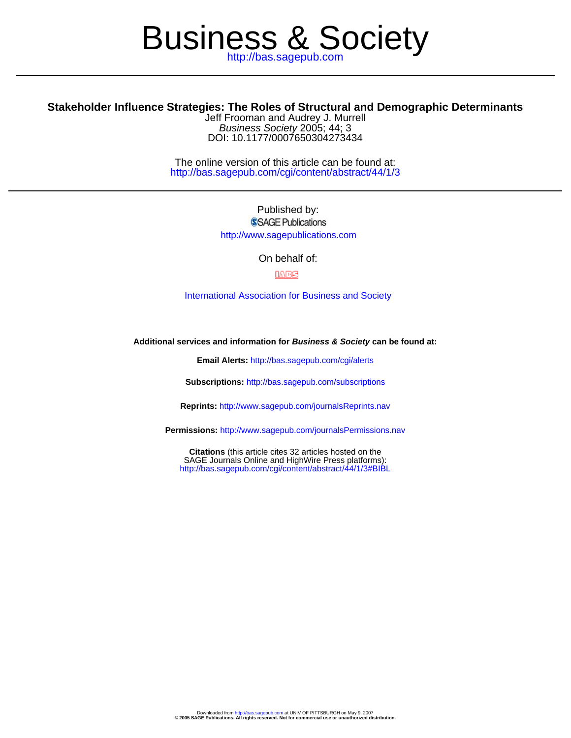# Business & Society

## **Stakeholder Influence Strategies: The Roles of Structural and Demographic Determinants**

DOI: 10.1177/0007650304273434 Business Society 2005; 44; 3 Jeff Frooman and Audrey J. Murrell

http://bas.sagepub.com/cgi/content/abstract/44/1/3 The online version of this article can be found at:

> Published by: SSAGE Publications http://www.sagepublications.com

> > On behalf of:

#### **IABS**

[International Association for Business and Society](http://www.iabs.net)

**Additional services and information for Business & Society can be found at:**

**Email Alerts:** <http://bas.sagepub.com/cgi/alerts>

**Subscriptions:** <http://bas.sagepub.com/subscriptions>

**Reprints:** <http://www.sagepub.com/journalsReprints.nav>

**Permissions:** <http://www.sagepub.com/journalsPermissions.nav>

<http://bas.sagepub.com/cgi/content/abstract/44/1/3#BIBL> SAGE Journals Online and HighWire Press platforms): **Citations** (this article cites 32 articles hosted on the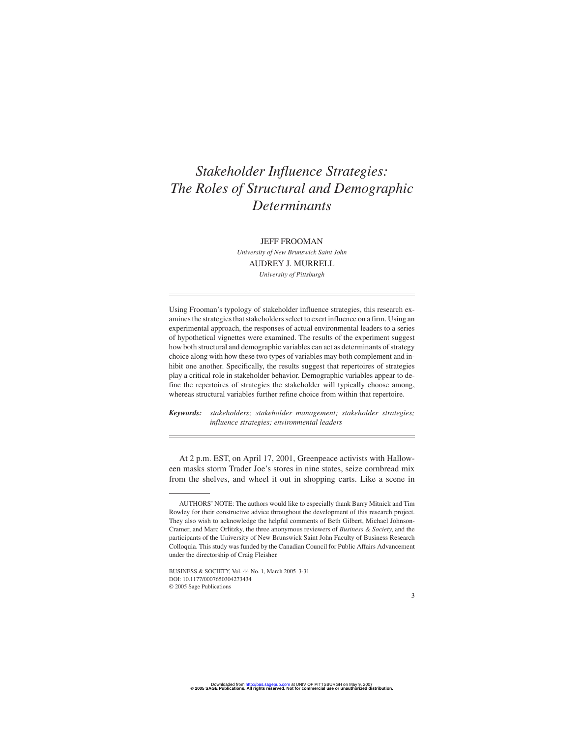## *Stakeholder Influence Strategies: The Roles of Structural and Demographic Determinants*

#### JEFF FROOMAN

*University of New Brunswick Saint John* AUDREY J. MURRELL

*University of Pittsburgh*

Using Frooman's typology of stakeholder influence strategies, this research examines the strategies that stakeholders select to exert influence on a firm. Using an experimental approach, the responses of actual environmental leaders to a series of hypothetical vignettes were examined. The results of the experiment suggest how both structural and demographic variables can act as determinants of strategy choice along with how these two types of variables may both complement and inhibit one another. Specifically, the results suggest that repertoires of strategies play a critical role in stakeholder behavior. Demographic variables appear to define the repertoires of strategies the stakeholder will typically choose among, whereas structural variables further refine choice from within that repertoire.

*Keywords: stakeholders; stakeholder management; stakeholder strategies; influence strategies; environmental leaders*

At 2 p.m. EST, on April 17, 2001, Greenpeace activists with Halloween masks storm Trader Joe's stores in nine states, seize cornbread mix from the shelves, and wheel it out in shopping carts. Like a scene in

AUTHORS' NOTE: The authors would like to especially thank Barry Mitnick and Tim Rowley for their constructive advice throughout the development of this research project. They also wish to acknowledge the helpful comments of Beth Gilbert, Michael Johnson-Cramer, and Marc Orlitzky, the three anonymous reviewers of *Business & Society*, and the participants of the University of New Brunswick Saint John Faculty of Business Research Colloquia. This study was funded by the Canadian Council for Public Affairs Advancement under the directorship of Craig Fleisher.

BUSINESS & SOCIETY, Vol. 44 No. 1, March 2005 3-31 DOI: 10.1177/0007650304273434 © 2005 Sage Publications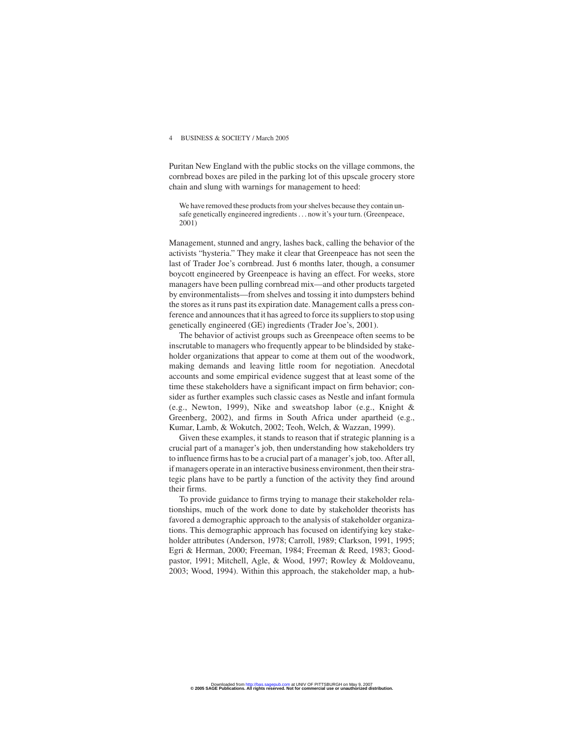Puritan New England with the public stocks on the village commons, the cornbread boxes are piled in the parking lot of this upscale grocery store chain and slung with warnings for management to heed:

We have removed these products from your shelves because they contain unsafe genetically engineered ingredients. . . now it's your turn. (Greenpeace, 2001)

Management, stunned and angry, lashes back, calling the behavior of the activists "hysteria." They make it clear that Greenpeace has not seen the last of Trader Joe's cornbread. Just 6 months later, though, a consumer boycott engineered by Greenpeace is having an effect. For weeks, store managers have been pulling cornbread mix—and other products targeted by environmentalists—from shelves and tossing it into dumpsters behind the stores as it runs past its expiration date. Management calls a press conference and announces that it has agreed to force its suppliers to stop using genetically engineered (GE) ingredients (Trader Joe's, 2001).

The behavior of activist groups such as Greenpeace often seems to be inscrutable to managers who frequently appear to be blindsided by stakeholder organizations that appear to come at them out of the woodwork, making demands and leaving little room for negotiation. Anecdotal accounts and some empirical evidence suggest that at least some of the time these stakeholders have a significant impact on firm behavior; consider as further examples such classic cases as Nestle and infant formula (e.g., Newton, 1999), Nike and sweatshop labor (e.g., Knight & Greenberg, 2002), and firms in South Africa under apartheid (e.g., Kumar, Lamb, & Wokutch, 2002; Teoh, Welch, & Wazzan, 1999).

Given these examples, it stands to reason that if strategic planning is a crucial part of a manager's job, then understanding how stakeholders try to influence firms has to be a crucial part of a manager's job, too. After all, if managers operate in an interactive business environment, then their strategic plans have to be partly a function of the activity they find around their firms.

To provide guidance to firms trying to manage their stakeholder relationships, much of the work done to date by stakeholder theorists has favored a demographic approach to the analysis of stakeholder organizations. This demographic approach has focused on identifying key stakeholder attributes (Anderson, 1978; Carroll, 1989; Clarkson, 1991, 1995; Egri & Herman, 2000; Freeman, 1984; Freeman & Reed, 1983; Goodpastor, 1991; Mitchell, Agle, & Wood, 1997; Rowley & Moldoveanu, 2003; Wood, 1994). Within this approach, the stakeholder map, a hub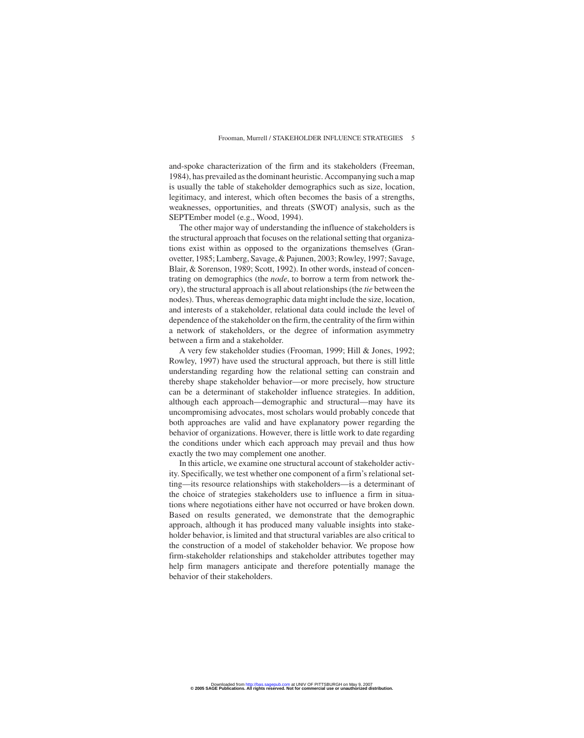and-spoke characterization of the firm and its stakeholders (Freeman, 1984), has prevailed as the dominant heuristic. Accompanying such a map is usually the table of stakeholder demographics such as size, location, legitimacy, and interest, which often becomes the basis of a strengths, weaknesses, opportunities, and threats (SWOT) analysis, such as the SEPTEmber model (e.g., Wood, 1994).

The other major way of understanding the influence of stakeholders is the structural approach that focuses on the relational setting that organizations exist within as opposed to the organizations themselves (Granovetter, 1985; Lamberg, Savage, & Pajunen, 2003; Rowley, 1997; Savage, Blair, & Sorenson, 1989; Scott, 1992). In other words, instead of concentrating on demographics (the *node*, to borrow a term from network theory), the structural approach is all about relationships (the *tie* between the nodes). Thus, whereas demographic data might include the size, location, and interests of a stakeholder, relational data could include the level of dependence of the stakeholder on the firm, the centrality of the firm within a network of stakeholders, or the degree of information asymmetry between a firm and a stakeholder.

A very few stakeholder studies (Frooman, 1999; Hill & Jones, 1992; Rowley, 1997) have used the structural approach, but there is still little understanding regarding how the relational setting can constrain and thereby shape stakeholder behavior—or more precisely, how structure can be a determinant of stakeholder influence strategies. In addition, although each approach—demographic and structural—may have its uncompromising advocates, most scholars would probably concede that both approaches are valid and have explanatory power regarding the behavior of organizations. However, there is little work to date regarding the conditions under which each approach may prevail and thus how exactly the two may complement one another.

In this article, we examine one structural account of stakeholder activity. Specifically, we test whether one component of a firm's relational setting—its resource relationships with stakeholders—is a determinant of the choice of strategies stakeholders use to influence a firm in situations where negotiations either have not occurred or have broken down. Based on results generated, we demonstrate that the demographic approach, although it has produced many valuable insights into stakeholder behavior, is limited and that structural variables are also critical to the construction of a model of stakeholder behavior. We propose how firm-stakeholder relationships and stakeholder attributes together may help firm managers anticipate and therefore potentially manage the behavior of their stakeholders.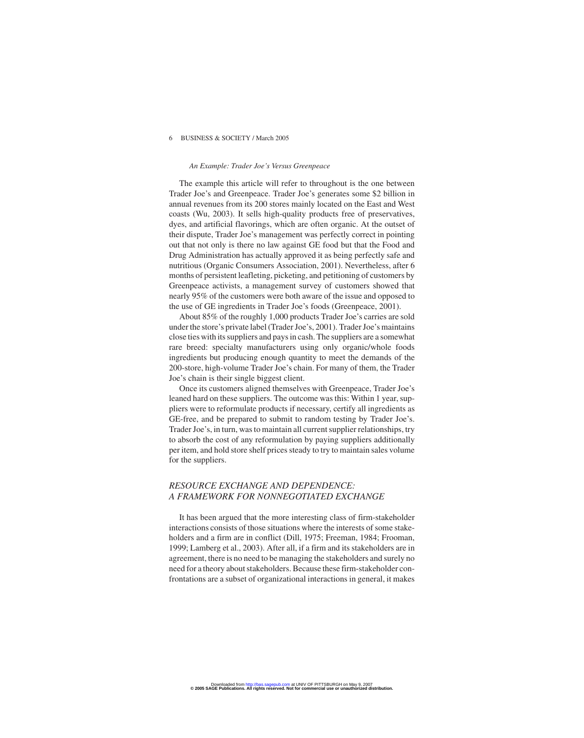#### *An Example: Trader Joe's Versus Greenpeace*

The example this article will refer to throughout is the one between Trader Joe's and Greenpeace. Trader Joe's generates some \$2 billion in annual revenues from its 200 stores mainly located on the East and West coasts (Wu, 2003). It sells high-quality products free of preservatives, dyes, and artificial flavorings, which are often organic. At the outset of their dispute, Trader Joe's management was perfectly correct in pointing out that not only is there no law against GE food but that the Food and Drug Administration has actually approved it as being perfectly safe and nutritious (Organic Consumers Association, 2001). Nevertheless, after 6 months of persistent leafleting, picketing, and petitioning of customers by Greenpeace activists, a management survey of customers showed that nearly 95% of the customers were both aware of the issue and opposed to the use of GE ingredients in Trader Joe's foods (Greenpeace, 2001).

About 85% of the roughly 1,000 products Trader Joe's carries are sold under the store's private label (Trader Joe's, 2001). Trader Joe's maintains close ties with its suppliers and pays in cash. The suppliers are a somewhat rare breed: specialty manufacturers using only organic/whole foods ingredients but producing enough quantity to meet the demands of the 200-store, high-volume Trader Joe's chain. For many of them, the Trader Joe's chain is their single biggest client.

Once its customers aligned themselves with Greenpeace, Trader Joe's leaned hard on these suppliers. The outcome was this: Within 1 year, suppliers were to reformulate products if necessary, certify all ingredients as GE-free, and be prepared to submit to random testing by Trader Joe's. Trader Joe's, in turn, was to maintain all current supplier relationships, try to absorb the cost of any reformulation by paying suppliers additionally per item, and hold store shelf prices steady to try to maintain sales volume for the suppliers.

#### *RESOURCE EXCHANGE AND DEPENDENCE: A FRAMEWORK FOR NONNEGOTIATED EXCHANGE*

It has been argued that the more interesting class of firm-stakeholder interactions consists of those situations where the interests of some stakeholders and a firm are in conflict (Dill, 1975; Freeman, 1984; Frooman, 1999; Lamberg et al., 2003). After all, if a firm and its stakeholders are in agreement, there is no need to be managing the stakeholders and surely no need for a theory about stakeholders. Because these firm-stakeholder confrontations are a subset of organizational interactions in general, it makes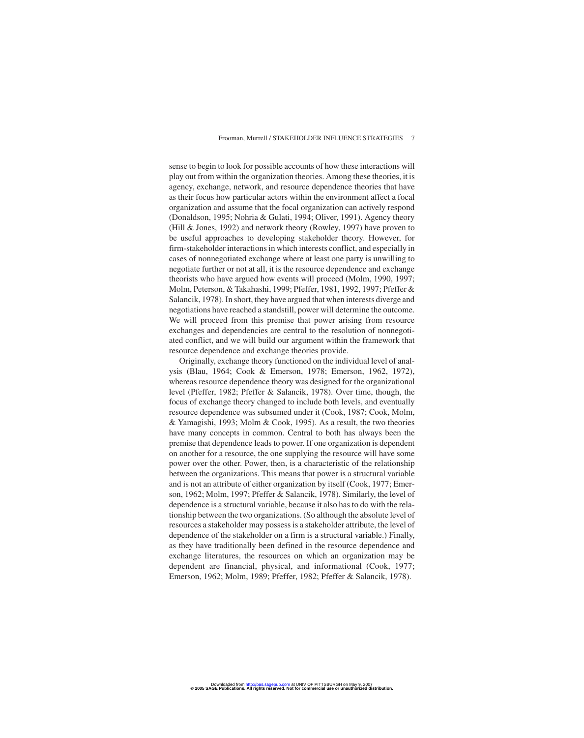sense to begin to look for possible accounts of how these interactions will play out from within the organization theories. Among these theories, it is agency, exchange, network, and resource dependence theories that have as their focus how particular actors within the environment affect a focal organization and assume that the focal organization can actively respond (Donaldson, 1995; Nohria & Gulati, 1994; Oliver, 1991). Agency theory (Hill & Jones, 1992) and network theory (Rowley, 1997) have proven to be useful approaches to developing stakeholder theory. However, for firm-stakeholder interactions in which interests conflict, and especially in cases of nonnegotiated exchange where at least one party is unwilling to negotiate further or not at all, it is the resource dependence and exchange theorists who have argued how events will proceed (Molm, 1990, 1997; Molm, Peterson, & Takahashi, 1999; Pfeffer, 1981, 1992, 1997; Pfeffer & Salancik, 1978). In short, they have argued that when interests diverge and negotiations have reached a standstill, power will determine the outcome. We will proceed from this premise that power arising from resource exchanges and dependencies are central to the resolution of nonnegotiated conflict, and we will build our argument within the framework that resource dependence and exchange theories provide.

Originally, exchange theory functioned on the individual level of analysis (Blau, 1964; Cook & Emerson, 1978; Emerson, 1962, 1972), whereas resource dependence theory was designed for the organizational level (Pfeffer, 1982; Pfeffer & Salancik, 1978). Over time, though, the focus of exchange theory changed to include both levels, and eventually resource dependence was subsumed under it (Cook, 1987; Cook, Molm, & Yamagishi, 1993; Molm & Cook, 1995). As a result, the two theories have many concepts in common. Central to both has always been the premise that dependence leads to power. If one organization is dependent on another for a resource, the one supplying the resource will have some power over the other. Power, then, is a characteristic of the relationship between the organizations. This means that power is a structural variable and is not an attribute of either organization by itself (Cook, 1977; Emerson, 1962; Molm, 1997; Pfeffer & Salancik, 1978). Similarly, the level of dependence is a structural variable, because it also has to do with the relationship between the two organizations. (So although the absolute level of resources a stakeholder may possess is a stakeholder attribute, the level of dependence of the stakeholder on a firm is a structural variable.) Finally, as they have traditionally been defined in the resource dependence and exchange literatures, the resources on which an organization may be dependent are financial, physical, and informational (Cook, 1977; Emerson, 1962; Molm, 1989; Pfeffer, 1982; Pfeffer & Salancik, 1978).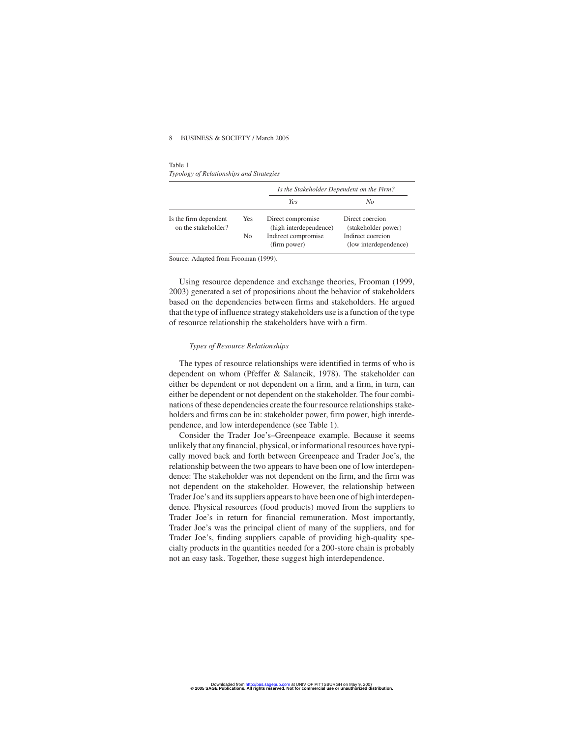Table 1 *Typology of Relationships and Strategies*

|                                              |     | Is the Stakeholder Dependent on the Firm?   |                                            |  |
|----------------------------------------------|-----|---------------------------------------------|--------------------------------------------|--|
|                                              |     | Ye.s                                        | No                                         |  |
| Is the firm dependent<br>on the stakeholder? | Yes | Direct compromise<br>(high interdependence) | Direct coercion<br>(stakeholder power)     |  |
|                                              | No  | Indirect compromise<br>(firm power)         | Indirect coercion<br>(low interdependence) |  |

Source: Adapted from Frooman (1999).

Using resource dependence and exchange theories, Frooman (1999, 2003) generated a set of propositions about the behavior of stakeholders based on the dependencies between firms and stakeholders. He argued that the type of influence strategy stakeholders use is a function of the type of resource relationship the stakeholders have with a firm.

#### *Types of Resource Relationships*

The types of resource relationships were identified in terms of who is dependent on whom (Pfeffer & Salancik, 1978). The stakeholder can either be dependent or not dependent on a firm, and a firm, in turn, can either be dependent or not dependent on the stakeholder. The four combinations of these dependencies create the four resource relationships stakeholders and firms can be in: stakeholder power, firm power, high interdependence, and low interdependence (see Table 1).

Consider the Trader Joe's–Greenpeace example. Because it seems unlikely that any financial, physical, or informational resources have typically moved back and forth between Greenpeace and Trader Joe's, the relationship between the two appears to have been one of low interdependence: The stakeholder was not dependent on the firm, and the firm was not dependent on the stakeholder. However, the relationship between Trader Joe's and its suppliers appears to have been one of high interdependence. Physical resources (food products) moved from the suppliers to Trader Joe's in return for financial remuneration. Most importantly, Trader Joe's was the principal client of many of the suppliers, and for Trader Joe's, finding suppliers capable of providing high-quality specialty products in the quantities needed for a 200-store chain is probably not an easy task. Together, these suggest high interdependence.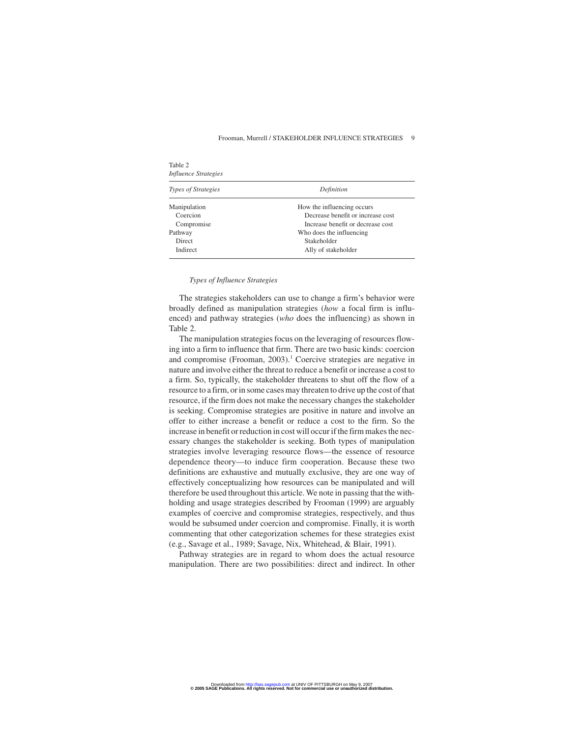#### Frooman, Murrell / STAKEHOLDER INFLUENCE STRATEGIES 9

| <i>Influence Strategies</i> |                                   |
|-----------------------------|-----------------------------------|
| <b>Types of Strategies</b>  | Definition                        |
| Manipulation                | How the influencing occurs        |
| Coercion                    | Decrease benefit or increase cost |
| Compromise                  | Increase benefit or decrease cost |
| Pathway                     | Who does the influencing          |
| <b>Direct</b>               | Stakeholder                       |
| Indirect                    | Ally of stakeholder               |

#### *Types of Influence Strategies*

Table 2

The strategies stakeholders can use to change a firm's behavior were broadly defined as manipulation strategies (*how* a focal firm is influenced) and pathway strategies (*who* does the influencing) as shown in Table 2.

The manipulation strategies focus on the leveraging of resources flowing into a firm to influence that firm. There are two basic kinds: coercion and compromise (Frooman, 2003).<sup>1</sup> Coercive strategies are negative in nature and involve either the threat to reduce a benefit or increase a cost to a firm. So, typically, the stakeholder threatens to shut off the flow of a resource to a firm, or in some cases may threaten to drive up the cost of that resource, if the firm does not make the necessary changes the stakeholder is seeking. Compromise strategies are positive in nature and involve an offer to either increase a benefit or reduce a cost to the firm. So the increase in benefit or reduction in cost will occur if the firm makes the necessary changes the stakeholder is seeking. Both types of manipulation strategies involve leveraging resource flows—the essence of resource dependence theory—to induce firm cooperation. Because these two definitions are exhaustive and mutually exclusive, they are one way of effectively conceptualizing how resources can be manipulated and will therefore be used throughout this article. We note in passing that the withholding and usage strategies described by Frooman (1999) are arguably examples of coercive and compromise strategies, respectively, and thus would be subsumed under coercion and compromise. Finally, it is worth commenting that other categorization schemes for these strategies exist (e.g., Savage et al., 1989; Savage, Nix, Whitehead, & Blair, 1991).

Pathway strategies are in regard to whom does the actual resource manipulation. There are two possibilities: direct and indirect. In other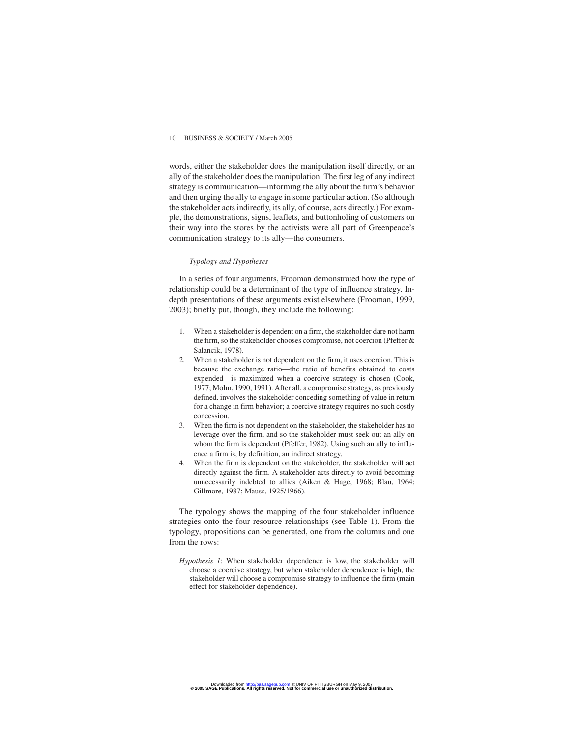words, either the stakeholder does the manipulation itself directly, or an ally of the stakeholder does the manipulation. The first leg of any indirect strategy is communication—informing the ally about the firm's behavior and then urging the ally to engage in some particular action. (So although the stakeholder acts indirectly, its ally, of course, acts directly.) For example, the demonstrations, signs, leaflets, and buttonholing of customers on their way into the stores by the activists were all part of Greenpeace's communication strategy to its ally—the consumers.

#### *Typology and Hypotheses*

In a series of four arguments, Frooman demonstrated how the type of relationship could be a determinant of the type of influence strategy. Indepth presentations of these arguments exist elsewhere (Frooman, 1999, 2003); briefly put, though, they include the following:

- 1. When a stakeholder is dependent on a firm, the stakeholder dare not harm the firm, so the stakeholder chooses compromise, not coercion (Pfeffer & Salancik, 1978).
- 2. When a stakeholder is not dependent on the firm, it uses coercion. This is because the exchange ratio—the ratio of benefits obtained to costs expended—is maximized when a coercive strategy is chosen (Cook, 1977; Molm, 1990, 1991). After all, a compromise strategy, as previously defined, involves the stakeholder conceding something of value in return for a change in firm behavior; a coercive strategy requires no such costly concession.
- 3. When the firm is not dependent on the stakeholder, the stakeholder has no leverage over the firm, and so the stakeholder must seek out an ally on whom the firm is dependent (Pfeffer, 1982). Using such an ally to influence a firm is, by definition, an indirect strategy.
- 4. When the firm is dependent on the stakeholder, the stakeholder will act directly against the firm. A stakeholder acts directly to avoid becoming unnecessarily indebted to allies (Aiken & Hage, 1968; Blau, 1964; Gillmore, 1987; Mauss, 1925/1966).

The typology shows the mapping of the four stakeholder influence strategies onto the four resource relationships (see Table 1). From the typology, propositions can be generated, one from the columns and one from the rows:

*Hypothesis 1*: When stakeholder dependence is low, the stakeholder will choose a coercive strategy, but when stakeholder dependence is high, the stakeholder will choose a compromise strategy to influence the firm (main effect for stakeholder dependence).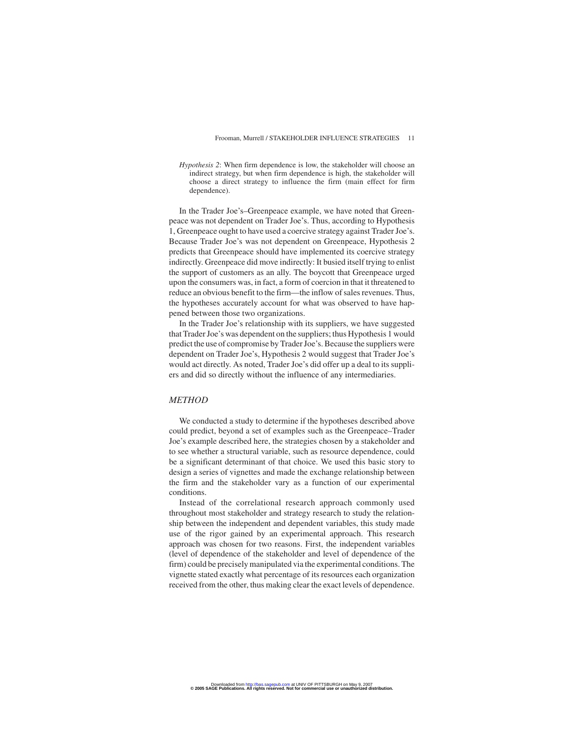*Hypothesis 2*: When firm dependence is low, the stakeholder will choose an indirect strategy, but when firm dependence is high, the stakeholder will choose a direct strategy to influence the firm (main effect for firm dependence).

In the Trader Joe's–Greenpeace example, we have noted that Greenpeace was not dependent on Trader Joe's. Thus, according to Hypothesis 1, Greenpeace ought to have used a coercive strategy against Trader Joe's. Because Trader Joe's was not dependent on Greenpeace, Hypothesis 2 predicts that Greenpeace should have implemented its coercive strategy indirectly. Greenpeace did move indirectly: It busied itself trying to enlist the support of customers as an ally. The boycott that Greenpeace urged upon the consumers was, in fact, a form of coercion in that it threatened to reduce an obvious benefit to the firm—the inflow of sales revenues. Thus, the hypotheses accurately account for what was observed to have happened between those two organizations.

In the Trader Joe's relationship with its suppliers, we have suggested that Trader Joe's was dependent on the suppliers; thus Hypothesis 1 would predict the use of compromise by Trader Joe's. Because the suppliers were dependent on Trader Joe's, Hypothesis 2 would suggest that Trader Joe's would act directly. As noted, Trader Joe's did offer up a deal to its suppliers and did so directly without the influence of any intermediaries.

#### *METHOD*

We conducted a study to determine if the hypotheses described above could predict, beyond a set of examples such as the Greenpeace–Trader Joe's example described here, the strategies chosen by a stakeholder and to see whether a structural variable, such as resource dependence, could be a significant determinant of that choice. We used this basic story to design a series of vignettes and made the exchange relationship between the firm and the stakeholder vary as a function of our experimental conditions.

Instead of the correlational research approach commonly used throughout most stakeholder and strategy research to study the relationship between the independent and dependent variables, this study made use of the rigor gained by an experimental approach. This research approach was chosen for two reasons. First, the independent variables (level of dependence of the stakeholder and level of dependence of the firm) could be precisely manipulated via the experimental conditions. The vignette stated exactly what percentage of its resources each organization received from the other, thus making clear the exact levels of dependence.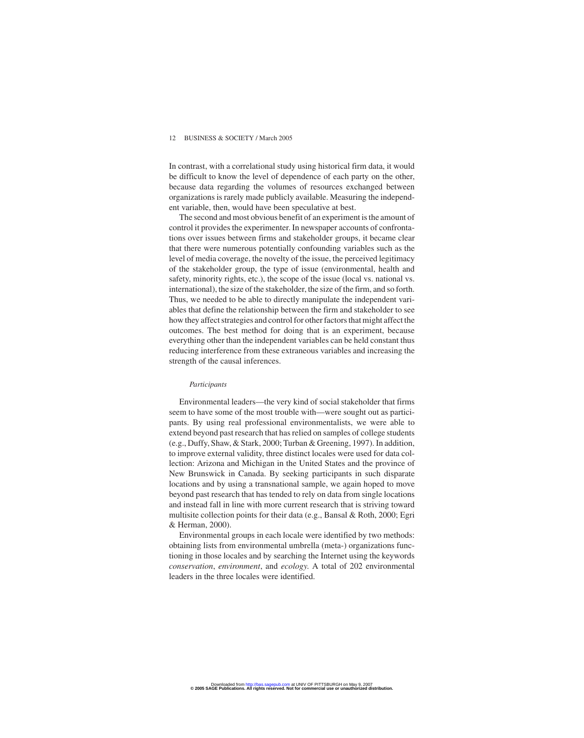In contrast, with a correlational study using historical firm data, it would be difficult to know the level of dependence of each party on the other, because data regarding the volumes of resources exchanged between organizations is rarely made publicly available. Measuring the independent variable, then, would have been speculative at best.

The second and most obvious benefit of an experiment is the amount of control it provides the experimenter. In newspaper accounts of confrontations over issues between firms and stakeholder groups, it became clear that there were numerous potentially confounding variables such as the level of media coverage, the novelty of the issue, the perceived legitimacy of the stakeholder group, the type of issue (environmental, health and safety, minority rights, etc.), the scope of the issue (local vs. national vs. international), the size of the stakeholder, the size of the firm, and so forth. Thus, we needed to be able to directly manipulate the independent variables that define the relationship between the firm and stakeholder to see how they affect strategies and control for other factors that might affect the outcomes. The best method for doing that is an experiment, because everything other than the independent variables can be held constant thus reducing interference from these extraneous variables and increasing the strength of the causal inferences.

#### *Participants*

Environmental leaders—the very kind of social stakeholder that firms seem to have some of the most trouble with—were sought out as participants. By using real professional environmentalists, we were able to extend beyond past research that has relied on samples of college students (e.g., Duffy, Shaw, & Stark, 2000; Turban & Greening, 1997). In addition, to improve external validity, three distinct locales were used for data collection: Arizona and Michigan in the United States and the province of New Brunswick in Canada. By seeking participants in such disparate locations and by using a transnational sample, we again hoped to move beyond past research that has tended to rely on data from single locations and instead fall in line with more current research that is striving toward multisite collection points for their data (e.g., Bansal & Roth, 2000; Egri & Herman, 2000).

Environmental groups in each locale were identified by two methods: obtaining lists from environmental umbrella (meta-) organizations functioning in those locales and by searching the Internet using the keywords *conservation*, *environment*, and *ecology*. A total of 202 environmental leaders in the three locales were identified.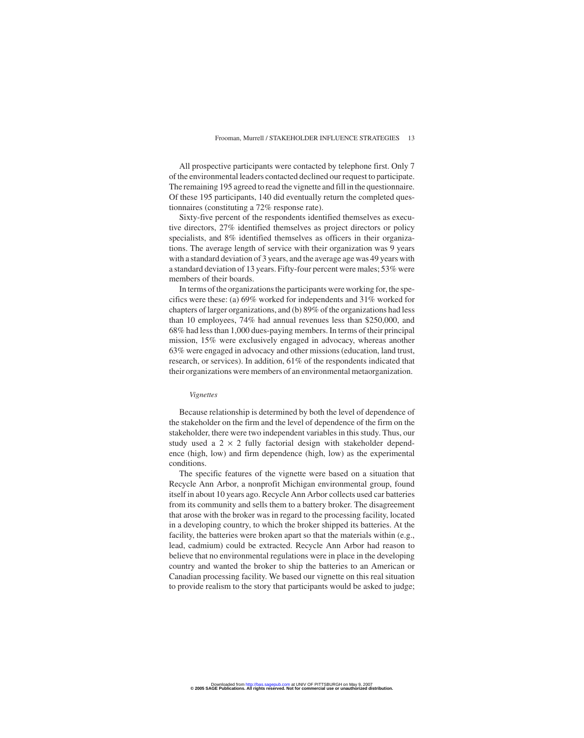All prospective participants were contacted by telephone first. Only 7 of the environmental leaders contacted declined our request to participate. The remaining 195 agreed to read the vignette and fill in the questionnaire. Of these 195 participants, 140 did eventually return the completed questionnaires (constituting a 72% response rate).

Sixty-five percent of the respondents identified themselves as executive directors, 27% identified themselves as project directors or policy specialists, and 8% identified themselves as officers in their organizations. The average length of service with their organization was 9 years with a standard deviation of 3 years, and the average age was 49 years with a standard deviation of 13 years. Fifty-four percent were males; 53% were members of their boards.

In terms of the organizations the participants were working for, the specifics were these: (a) 69% worked for independents and 31% worked for chapters of larger organizations, and (b) 89% of the organizations had less than 10 employees, 74% had annual revenues less than \$250,000, and 68% had less than 1,000 dues-paying members. In terms of their principal mission, 15% were exclusively engaged in advocacy, whereas another 63% were engaged in advocacy and other missions (education, land trust, research, or services). In addition, 61% of the respondents indicated that their organizations were members of an environmental metaorganization.

#### *Vignettes*

Because relationship is determined by both the level of dependence of the stakeholder on the firm and the level of dependence of the firm on the stakeholder, there were two independent variables in this study. Thus, our study used a  $2 \times 2$  fully factorial design with stakeholder dependence (high, low) and firm dependence (high, low) as the experimental conditions.

The specific features of the vignette were based on a situation that Recycle Ann Arbor, a nonprofit Michigan environmental group, found itself in about 10 years ago. Recycle Ann Arbor collects used car batteries from its community and sells them to a battery broker. The disagreement that arose with the broker was in regard to the processing facility, located in a developing country, to which the broker shipped its batteries. At the facility, the batteries were broken apart so that the materials within (e.g., lead, cadmium) could be extracted. Recycle Ann Arbor had reason to believe that no environmental regulations were in place in the developing country and wanted the broker to ship the batteries to an American or Canadian processing facility. We based our vignette on this real situation to provide realism to the story that participants would be asked to judge;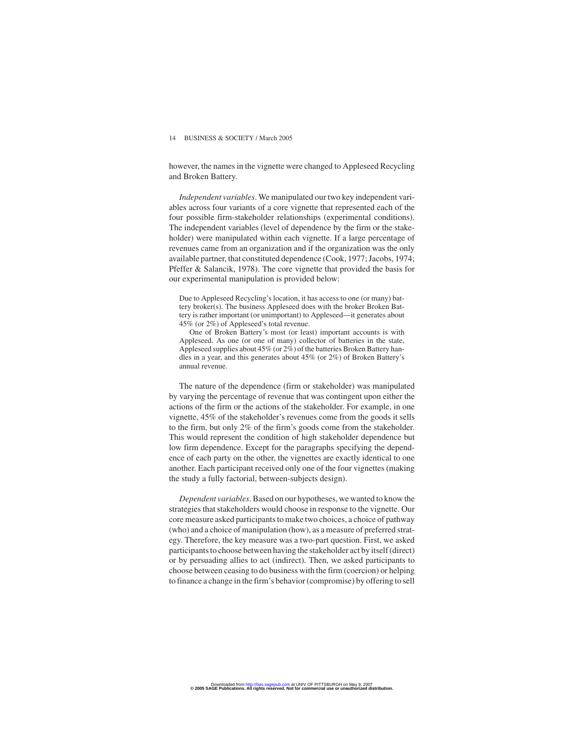however, the names in the vignette were changed to Appleseed Recycling and Broken Battery.

*Independent variables*. We manipulated our two key independent variables across four variants of a core vignette that represented each of the four possible firm-stakeholder relationships (experimental conditions). The independent variables (level of dependence by the firm or the stakeholder) were manipulated within each vignette. If a large percentage of revenues came from an organization and if the organization was the only available partner, that constituted dependence (Cook, 1977; Jacobs, 1974; Pfeffer & Salancik, 1978). The core vignette that provided the basis for our experimental manipulation is provided below:

Due to Appleseed Recycling's location, it has access to one (or many) battery broker(s). The business Appleseed does with the broker Broken Battery is rather important (or unimportant) to Appleseed—it generates about 45% (or 2%) of Appleseed's total revenue.

One of Broken Battery's most (or least) important accounts is with Appleseed. As one (or one of many) collector of batteries in the state, Appleseed supplies about 45% (or 2%) of the batteries Broken Battery handles in a year, and this generates about 45% (or 2%) of Broken Battery's annual revenue.

The nature of the dependence (firm or stakeholder) was manipulated by varying the percentage of revenue that was contingent upon either the actions of the firm or the actions of the stakeholder. For example, in one vignette, 45% of the stakeholder's revenues come from the goods it sells to the firm, but only 2% of the firm's goods come from the stakeholder. This would represent the condition of high stakeholder dependence but low firm dependence. Except for the paragraphs specifying the dependence of each party on the other, the vignettes are exactly identical to one another. Each participant received only one of the four vignettes (making the study a fully factorial, between-subjects design).

*Dependent variables*. Based on our hypotheses, we wanted to know the strategies that stakeholders would choose in response to the vignette. Our core measure asked participants to make two choices, a choice of pathway (who) and a choice of manipulation (how), as a measure of preferred strategy. Therefore, the key measure was a two-part question. First, we asked participants to choose between having the stakeholder act by itself (direct) or by persuading allies to act (indirect). Then, we asked participants to choose between ceasing to do business with the firm (coercion) or helping to finance a change in the firm's behavior (compromise) by offering to sell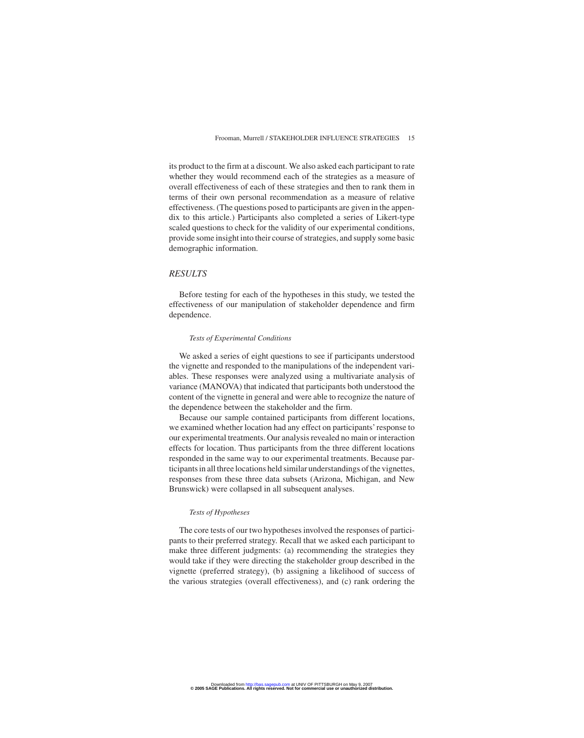its product to the firm at a discount. We also asked each participant to rate whether they would recommend each of the strategies as a measure of overall effectiveness of each of these strategies and then to rank them in terms of their own personal recommendation as a measure of relative effectiveness. (The questions posed to participants are given in the appendix to this article.) Participants also completed a series of Likert-type scaled questions to check for the validity of our experimental conditions, provide some insight into their course of strategies, and supply some basic demographic information.

#### *RESULTS*

Before testing for each of the hypotheses in this study, we tested the effectiveness of our manipulation of stakeholder dependence and firm dependence.

#### *Tests of Experimental Conditions*

We asked a series of eight questions to see if participants understood the vignette and responded to the manipulations of the independent variables. These responses were analyzed using a multivariate analysis of variance (MANOVA) that indicated that participants both understood the content of the vignette in general and were able to recognize the nature of the dependence between the stakeholder and the firm.

Because our sample contained participants from different locations, we examined whether location had any effect on participants' response to our experimental treatments. Our analysis revealed no main or interaction effects for location. Thus participants from the three different locations responded in the same way to our experimental treatments. Because participants in all three locations held similar understandings of the vignettes, responses from these three data subsets (Arizona, Michigan, and New Brunswick) were collapsed in all subsequent analyses.

#### *Tests of Hypotheses*

The core tests of our two hypotheses involved the responses of participants to their preferred strategy. Recall that we asked each participant to make three different judgments: (a) recommending the strategies they would take if they were directing the stakeholder group described in the vignette (preferred strategy), (b) assigning a likelihood of success of the various strategies (overall effectiveness), and (c) rank ordering the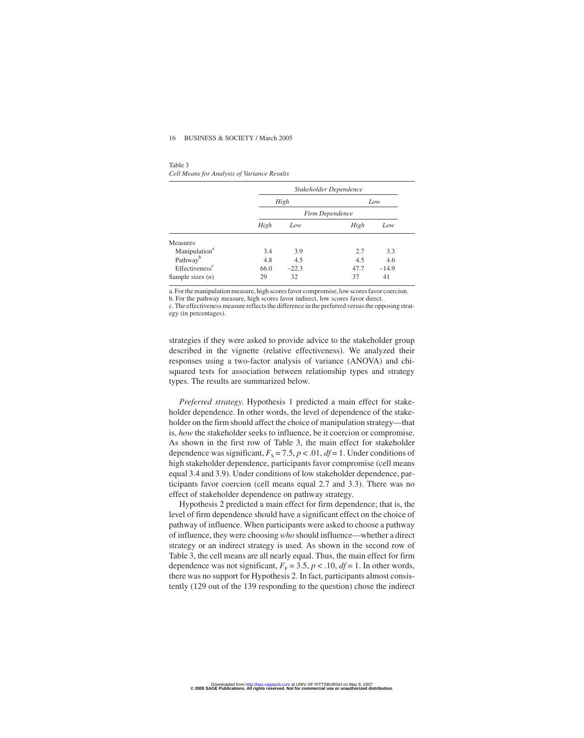Table 3 *Cell Means for Analysis of Variance Results*

|                            | Stakeholder Dependence |         |      |         |
|----------------------------|------------------------|---------|------|---------|
|                            |                        | High    |      | Low     |
|                            | Firm Dependence        |         |      |         |
|                            | High                   | Low     | High | Low     |
| <b>Measures</b>            |                        |         |      |         |
| Manipulation <sup>a</sup>  | 3.4                    | 3.9     | 2.7  | 3.3     |
| Pathway <sup>b</sup>       | 4.8                    | 4.5     | 4.5  | 4.6     |
| Effectiveness <sup>c</sup> | 66.0                   | $-22.3$ | 47.7 | $-14.9$ |
| Sample sizes $(n)$         | 29                     | 32      | 37   | 41      |

a. For the manipulation measure, high scores favor compromise, low scoresfavor coercion.

b. For the pathway measure, high scores favor indirect, low scores favor direct.

c. The effectiveness measure reflects the difference in the preferred versus the opposing strategy (in percentages).

strategies if they were asked to provide advice to the stakeholder group described in the vignette (relative effectiveness). We analyzed their responses using a two-factor analysis of variance (ANOVA) and chisquared tests for association between relationship types and strategy types. The results are summarized below.

*Preferred strategy*. Hypothesis 1 predicted a main effect for stakeholder dependence. In other words, the level of dependence of the stakeholder on the firm should affect the choice of manipulation strategy—that is, *how* the stakeholder seeks to influence, be it coercion or compromise. As shown in the first row of Table 3, the main effect for stakeholder dependence was significant,  $F_s = 7.5$ ,  $p < .01$ ,  $df = 1$ . Under conditions of high stakeholder dependence, participants favor compromise (cell means equal 3.4 and 3.9). Under conditions of low stakeholder dependence, participants favor coercion (cell means equal 2.7 and 3.3). There was no effect of stakeholder dependence on pathway strategy.

Hypothesis 2 predicted a main effect for firm dependence; that is, the level of firm dependence should have a significant effect on the choice of pathway of influence. When participants were asked to choose a pathway of influence, they were choosing *who* should influence—whether a direct strategy or an indirect strategy is used. As shown in the second row of Table 3, the cell means are all nearly equal. Thus, the main effect for firm dependence was not significant,  $F_F = 3.5$ ,  $p < .10$ ,  $df = 1$ . In other words, there was no support for Hypothesis 2. In fact, participants almost consistently (129 out of the 139 responding to the question) chose the indirect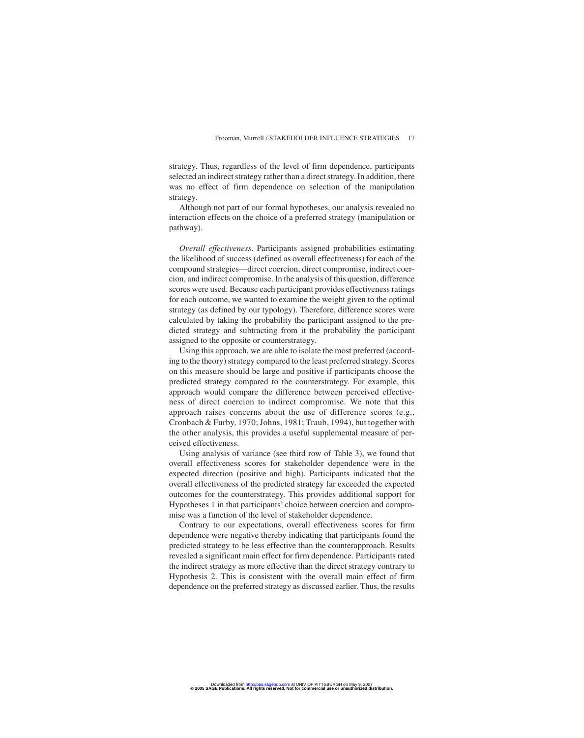strategy. Thus, regardless of the level of firm dependence, participants selected an indirect strategy rather than a direct strategy. In addition, there was no effect of firm dependence on selection of the manipulation strategy.

Although not part of our formal hypotheses, our analysis revealed no interaction effects on the choice of a preferred strategy (manipulation or pathway).

*Overall effectiveness*. Participants assigned probabilities estimating the likelihood of success (defined as overall effectiveness) for each of the compound strategies—direct coercion, direct compromise, indirect coercion, and indirect compromise. In the analysis of this question, difference scores were used. Because each participant provides effectiveness ratings for each outcome, we wanted to examine the weight given to the optimal strategy (as defined by our typology). Therefore, difference scores were calculated by taking the probability the participant assigned to the predicted strategy and subtracting from it the probability the participant assigned to the opposite or counterstrategy.

Using this approach, we are able to isolate the most preferred (according to the theory) strategy compared to the least preferred strategy. Scores on this measure should be large and positive if participants choose the predicted strategy compared to the counterstrategy. For example, this approach would compare the difference between perceived effectiveness of direct coercion to indirect compromise. We note that this approach raises concerns about the use of difference scores (e.g., Cronbach & Furby, 1970; Johns, 1981; Traub, 1994), but together with the other analysis, this provides a useful supplemental measure of perceived effectiveness.

Using analysis of variance (see third row of Table 3), we found that overall effectiveness scores for stakeholder dependence were in the expected direction (positive and high). Participants indicated that the overall effectiveness of the predicted strategy far exceeded the expected outcomes for the counterstrategy. This provides additional support for Hypotheses 1 in that participants' choice between coercion and compromise was a function of the level of stakeholder dependence.

Contrary to our expectations, overall effectiveness scores for firm dependence were negative thereby indicating that participants found the predicted strategy to be less effective than the counterapproach. Results revealed a significant main effect for firm dependence. Participants rated the indirect strategy as more effective than the direct strategy contrary to Hypothesis 2. This is consistent with the overall main effect of firm dependence on the preferred strategy as discussed earlier. Thus, the results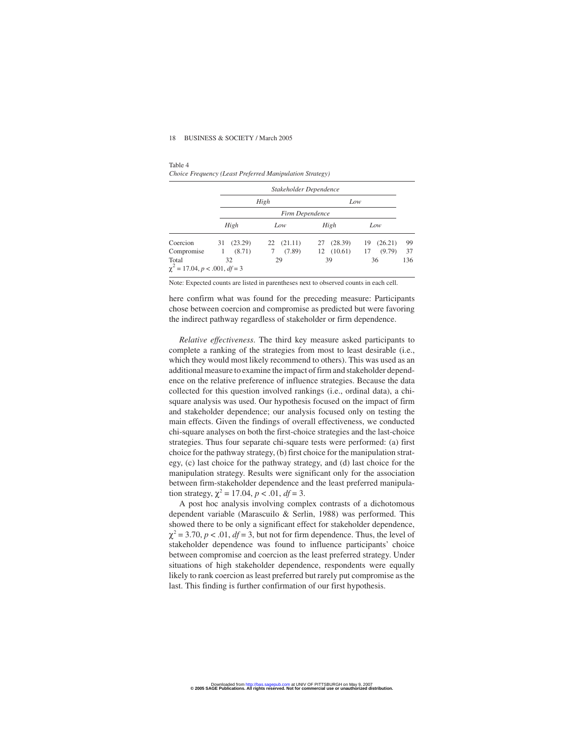| Table 4                                                  |  |
|----------------------------------------------------------|--|
| Choice Frequency (Least Preferred Manipulation Strategy) |  |

|                                             | Stakeholder Dependence |                 |               |               |     |  |
|---------------------------------------------|------------------------|-----------------|---------------|---------------|-----|--|
|                                             | High                   |                 | Low           |               |     |  |
|                                             |                        | Firm Dependence |               |               |     |  |
|                                             | High                   | Low             | High          | Low           |     |  |
| Coercion                                    | (23.29)<br>31          | (21.11)<br>22   | (28.39)<br>27 | (26.21)<br>19 | 99  |  |
| Compromise                                  | (8.71)<br>1            | (7.89)<br>7     | (10.61)<br>12 | (9.79)<br>17  | 37  |  |
| Total<br>$\chi^2$ = 17.04, p < .001, df = 3 | 32                     | 29              | 39            | 36            | 136 |  |

Note: Expected counts are listed in parentheses next to observed counts in each cell.

here confirm what was found for the preceding measure: Participants chose between coercion and compromise as predicted but were favoring the indirect pathway regardless of stakeholder or firm dependence.

*Relative effectiveness*. The third key measure asked participants to complete a ranking of the strategies from most to least desirable (i.e., which they would most likely recommend to others). This was used as an additional measure to examine the impact of firm and stakeholder dependence on the relative preference of influence strategies. Because the data collected for this question involved rankings (i.e., ordinal data), a chisquare analysis was used. Our hypothesis focused on the impact of firm and stakeholder dependence; our analysis focused only on testing the main effects. Given the findings of overall effectiveness, we conducted chi-square analyses on both the first-choice strategies and the last-choice strategies. Thus four separate chi-square tests were performed: (a) first choice for the pathway strategy, (b) first choice for the manipulation strategy, (c) last choice for the pathway strategy, and (d) last choice for the manipulation strategy. Results were significant only for the association between firm-stakeholder dependence and the least preferred manipulation strategy,  $\chi^2 = 17.04$ ,  $p < .01$ ,  $df = 3$ .

A post hoc analysis involving complex contrasts of a dichotomous dependent variable (Marascuilo & Serlin, 1988) was performed. This showed there to be only a significant effect for stakeholder dependence,  $\chi^2$  = 3.70, *p* < .01, *df* = 3, but not for firm dependence. Thus, the level of stakeholder dependence was found to influence participants' choice between compromise and coercion as the least preferred strategy. Under situations of high stakeholder dependence, respondents were equally likely to rank coercion as least preferred but rarely put compromise as the last. This finding is further confirmation of our first hypothesis.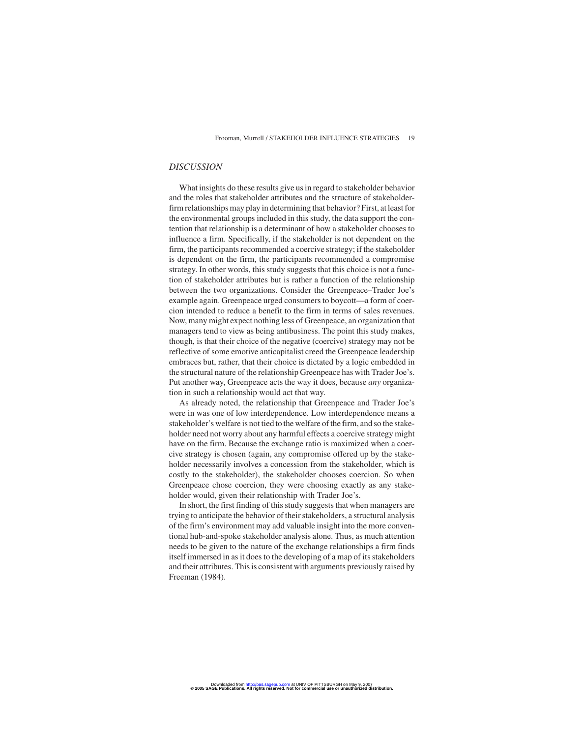#### *DISCUSSION*

What insights do these results give us in regard to stakeholder behavior and the roles that stakeholder attributes and the structure of stakeholderfirm relationships may play in determining that behavior? First, at least for the environmental groups included in this study, the data support the contention that relationship is a determinant of how a stakeholder chooses to influence a firm. Specifically, if the stakeholder is not dependent on the firm, the participants recommended a coercive strategy; if the stakeholder is dependent on the firm, the participants recommended a compromise strategy. In other words, this study suggests that this choice is not a function of stakeholder attributes but is rather a function of the relationship between the two organizations. Consider the Greenpeace–Trader Joe's example again. Greenpeace urged consumers to boycott—a form of coercion intended to reduce a benefit to the firm in terms of sales revenues. Now, many might expect nothing less of Greenpeace, an organization that managers tend to view as being antibusiness. The point this study makes, though, is that their choice of the negative (coercive) strategy may not be reflective of some emotive anticapitalist creed the Greenpeace leadership embraces but, rather, that their choice is dictated by a logic embedded in the structural nature of the relationship Greenpeace has with Trader Joe's. Put another way, Greenpeace acts the way it does, because *any* organization in such a relationship would act that way.

As already noted, the relationship that Greenpeace and Trader Joe's were in was one of low interdependence. Low interdependence means a stakeholder's welfare is not tied to the welfare of the firm, and so the stakeholder need not worry about any harmful effects a coercive strategy might have on the firm. Because the exchange ratio is maximized when a coercive strategy is chosen (again, any compromise offered up by the stakeholder necessarily involves a concession from the stakeholder, which is costly to the stakeholder), the stakeholder chooses coercion. So when Greenpeace chose coercion, they were choosing exactly as any stakeholder would, given their relationship with Trader Joe's.

In short, the first finding of this study suggests that when managers are trying to anticipate the behavior of their stakeholders, a structural analysis of the firm's environment may add valuable insight into the more conventional hub-and-spoke stakeholder analysis alone. Thus, as much attention needs to be given to the nature of the exchange relationships a firm finds itself immersed in as it does to the developing of a map of its stakeholders and their attributes. This is consistent with arguments previously raised by Freeman (1984).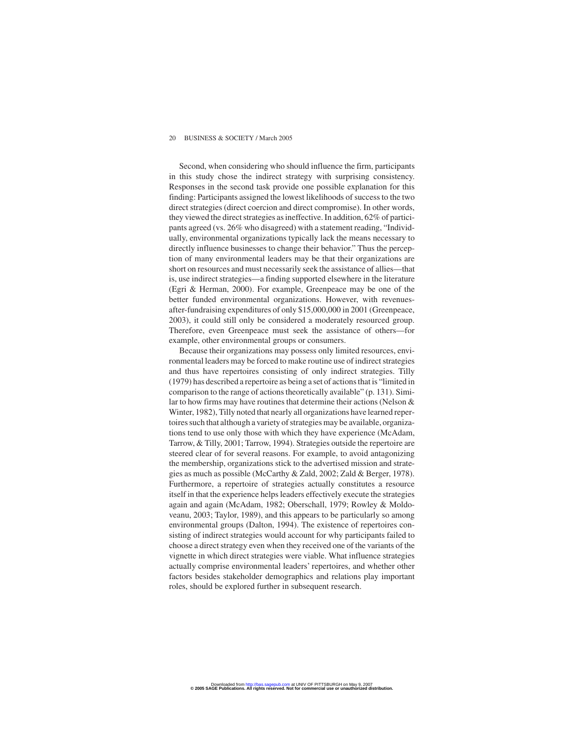Second, when considering who should influence the firm, participants in this study chose the indirect strategy with surprising consistency. Responses in the second task provide one possible explanation for this finding: Participants assigned the lowest likelihoods of success to the two direct strategies (direct coercion and direct compromise). In other words, they viewed the direct strategies as ineffective. In addition, 62% of participants agreed (vs. 26% who disagreed) with a statement reading, "Individually, environmental organizations typically lack the means necessary to directly influence businesses to change their behavior." Thus the perception of many environmental leaders may be that their organizations are short on resources and must necessarily seek the assistance of allies—that is, use indirect strategies—a finding supported elsewhere in the literature (Egri & Herman, 2000). For example, Greenpeace may be one of the better funded environmental organizations. However, with revenuesafter-fundraising expenditures of only \$15,000,000 in 2001 (Greenpeace, 2003), it could still only be considered a moderately resourced group. Therefore, even Greenpeace must seek the assistance of others—for example, other environmental groups or consumers.

Because their organizations may possess only limited resources, environmental leaders may be forced to make routine use of indirect strategies and thus have repertoires consisting of only indirect strategies. Tilly (1979) has described a repertoire as being a set of actions that is "limited in comparison to the range of actions theoretically available" (p. 131). Similar to how firms may have routines that determine their actions (Nelson & Winter, 1982), Tilly noted that nearly all organizations have learned repertoires such that although a variety of strategies may be available, organizations tend to use only those with which they have experience (McAdam, Tarrow, & Tilly, 2001; Tarrow, 1994). Strategies outside the repertoire are steered clear of for several reasons. For example, to avoid antagonizing the membership, organizations stick to the advertised mission and strategies as much as possible (McCarthy & Zald, 2002; Zald & Berger, 1978). Furthermore, a repertoire of strategies actually constitutes a resource itself in that the experience helps leaders effectively execute the strategies again and again (McAdam, 1982; Oberschall, 1979; Rowley & Moldoveanu, 2003; Taylor, 1989), and this appears to be particularly so among environmental groups (Dalton, 1994). The existence of repertoires consisting of indirect strategies would account for why participants failed to choose a direct strategy even when they received one of the variants of the vignette in which direct strategies were viable. What influence strategies actually comprise environmental leaders' repertoires, and whether other factors besides stakeholder demographics and relations play important roles, should be explored further in subsequent research.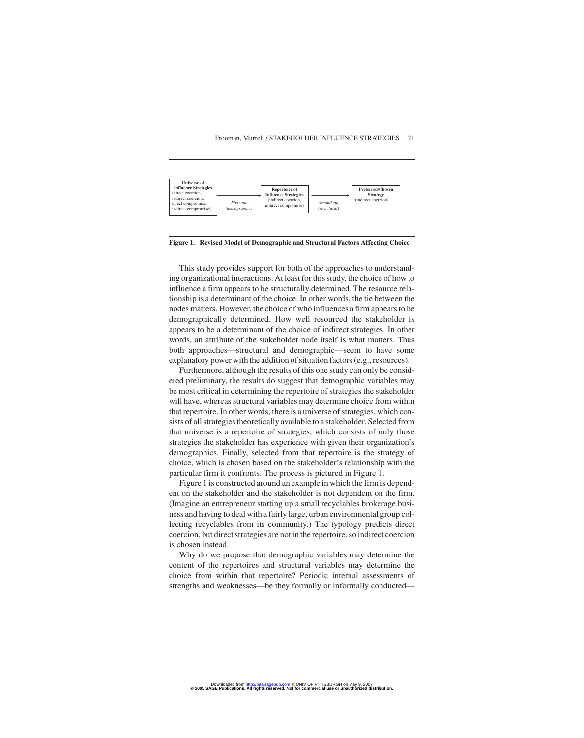

\_\_\_\_\_\_\_\_\_\_\_\_\_\_\_\_\_\_\_\_\_\_\_\_\_\_\_\_\_\_\_\_\_\_\_\_\_\_\_\_\_\_\_\_\_\_\_\_\_\_\_\_\_\_\_\_\_\_\_\_\_\_\_\_\_\_\_\_\_\_\_\_\_\_\_\_\_\_\_\_\_\_\_\_\_\_\_\_\_\_\_\_\_\_\_\_\_\_\_\_\_\_\_\_\_\_\_\_ **Figure 1. Revised Model of Demographic and Structural Factors Affecting Choice**

This study provides support for both of the approaches to understanding organizational interactions. At least for this study, the choice of how to influence a firm appears to be structurally determined. The resource relationship is a determinant of the choice. In other words, the tie between the nodes matters. However, the choice of who influences a firm appears to be demographically determined. How well resourced the stakeholder is appears to be a determinant of the choice of indirect strategies. In other words, an attribute of the stakeholder node itself is what matters. Thus both approaches—structural and demographic—seem to have some explanatory power with the addition of situation factors (e.g., resources).

Furthermore, although the results of this one study can only be considered preliminary, the results do suggest that demographic variables may be most critical in determining the repertoire of strategies the stakeholder will have, whereas structural variables may determine choice from within that repertoire. In other words, there is a universe of strategies, which consists of all strategies theoretically available to a stakeholder. Selected from that universe is a repertoire of strategies, which consists of only those strategies the stakeholder has experience with given their organization's demographics. Finally, selected from that repertoire is the strategy of choice, which is chosen based on the stakeholder's relationship with the particular firm it confronts. The process is pictured in Figure 1.

Figure 1 is constructed around an example in which the firm is dependent on the stakeholder and the stakeholder is not dependent on the firm. (Imagine an entrepreneur starting up a small recyclables brokerage business and having to deal with a fairly large, urban environmental group collecting recyclables from its community.) The typology predicts direct coercion, but direct strategies are not in the repertoire, so indirect coercion is chosen instead.

Why do we propose that demographic variables may determine the content of the repertoires and structural variables may determine the choice from within that repertoire? Periodic internal assessments of strengths and weaknesses—be they formally or informally conducted—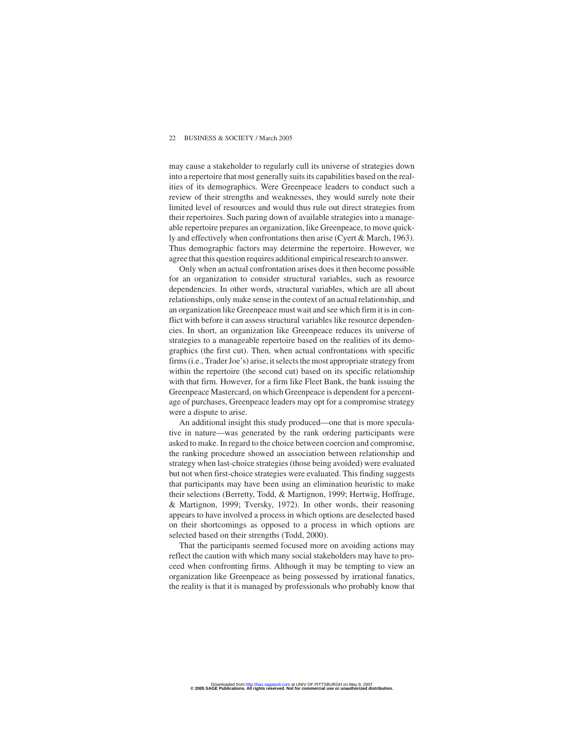may cause a stakeholder to regularly cull its universe of strategies down into a repertoire that most generally suits its capabilities based on the realities of its demographics. Were Greenpeace leaders to conduct such a review of their strengths and weaknesses, they would surely note their limited level of resources and would thus rule out direct strategies from their repertoires. Such paring down of available strategies into a manageable repertoire prepares an organization, like Greenpeace, to move quickly and effectively when confrontations then arise (Cyert & March, 1963). Thus demographic factors may determine the repertoire. However, we agree that this question requires additional empirical research to answer.

Only when an actual confrontation arises does it then become possible for an organization to consider structural variables, such as resource dependencies. In other words, structural variables, which are all about relationships, only make sense in the context of an actual relationship, and an organization like Greenpeace must wait and see which firm it is in conflict with before it can assess structural variables like resource dependencies. In short, an organization like Greenpeace reduces its universe of strategies to a manageable repertoire based on the realities of its demographics (the first cut). Then, when actual confrontations with specific firms (i.e., Trader Joe's) arise, it selects the most appropriate strategy from within the repertoire (the second cut) based on its specific relationship with that firm. However, for a firm like Fleet Bank, the bank issuing the Greenpeace Mastercard, on which Greenpeace is dependent for a percentage of purchases, Greenpeace leaders may opt for a compromise strategy were a dispute to arise.

An additional insight this study produced—one that is more speculative in nature—was generated by the rank ordering participants were asked to make. In regard to the choice between coercion and compromise, the ranking procedure showed an association between relationship and strategy when last-choice strategies (those being avoided) were evaluated but not when first-choice strategies were evaluated. This finding suggests that participants may have been using an elimination heuristic to make their selections (Berretty, Todd, & Martignon, 1999; Hertwig, Hoffrage, & Martignon, 1999; Tversky, 1972). In other words, their reasoning appears to have involved a process in which options are deselected based on their shortcomings as opposed to a process in which options are selected based on their strengths (Todd, 2000).

That the participants seemed focused more on avoiding actions may reflect the caution with which many social stakeholders may have to proceed when confronting firms. Although it may be tempting to view an organization like Greenpeace as being possessed by irrational fanatics, the reality is that it is managed by professionals who probably know that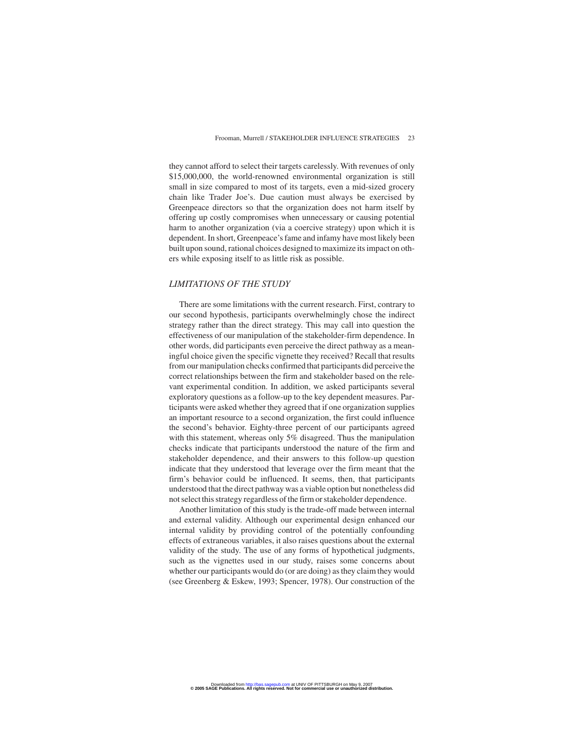they cannot afford to select their targets carelessly. With revenues of only \$15,000,000, the world-renowned environmental organization is still small in size compared to most of its targets, even a mid-sized grocery chain like Trader Joe's. Due caution must always be exercised by Greenpeace directors so that the organization does not harm itself by offering up costly compromises when unnecessary or causing potential harm to another organization (via a coercive strategy) upon which it is dependent. In short, Greenpeace's fame and infamy have most likely been built upon sound, rational choices designed to maximize its impact on others while exposing itself to as little risk as possible.

#### *LIMITATIONS OF THE STUDY*

There are some limitations with the current research. First, contrary to our second hypothesis, participants overwhelmingly chose the indirect strategy rather than the direct strategy. This may call into question the effectiveness of our manipulation of the stakeholder-firm dependence. In other words, did participants even perceive the direct pathway as a meaningful choice given the specific vignette they received? Recall that results from our manipulation checks confirmed that participants did perceive the correct relationships between the firm and stakeholder based on the relevant experimental condition. In addition, we asked participants several exploratory questions as a follow-up to the key dependent measures. Participants were asked whether they agreed that if one organization supplies an important resource to a second organization, the first could influence the second's behavior. Eighty-three percent of our participants agreed with this statement, whereas only 5% disagreed. Thus the manipulation checks indicate that participants understood the nature of the firm and stakeholder dependence, and their answers to this follow-up question indicate that they understood that leverage over the firm meant that the firm's behavior could be influenced. It seems, then, that participants understood that the direct pathway was a viable option but nonetheless did not select this strategy regardless of the firm or stakeholder dependence.

Another limitation of this study is the trade-off made between internal and external validity. Although our experimental design enhanced our internal validity by providing control of the potentially confounding effects of extraneous variables, it also raises questions about the external validity of the study. The use of any forms of hypothetical judgments, such as the vignettes used in our study, raises some concerns about whether our participants would do (or are doing) as they claim they would (see Greenberg & Eskew, 1993; Spencer, 1978). Our construction of the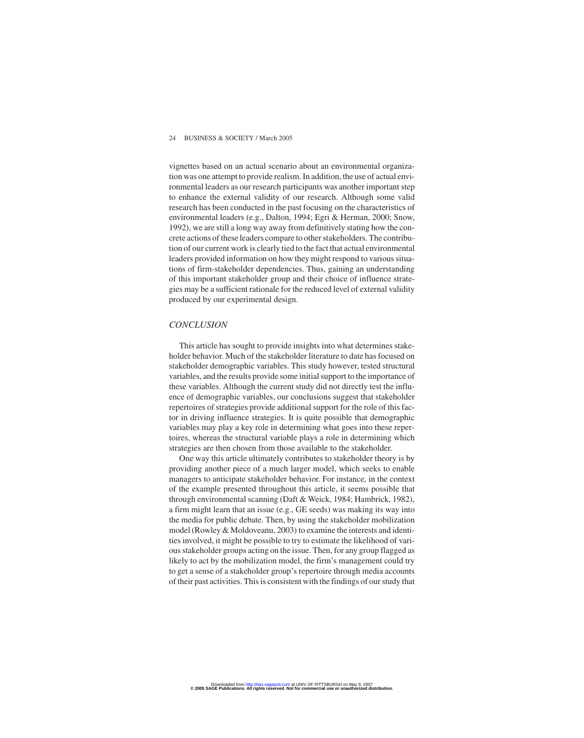vignettes based on an actual scenario about an environmental organization was one attempt to provide realism. In addition, the use of actual environmental leaders as our research participants was another important step to enhance the external validity of our research. Although some valid research has been conducted in the past focusing on the characteristics of environmental leaders (e.g., Dalton, 1994; Egri & Herman, 2000; Snow, 1992), we are still a long way away from definitively stating how the concrete actions of these leaders compare to other stakeholders. The contribution of our current work is clearly tied to the fact that actual environmental leaders provided information on how they might respond to various situations of firm-stakeholder dependencies. Thus, gaining an understanding of this important stakeholder group and their choice of influence strategies may be a sufficient rationale for the reduced level of external validity produced by our experimental design.

#### *CONCLUSION*

This article has sought to provide insights into what determines stakeholder behavior. Much of the stakeholder literature to date has focused on stakeholder demographic variables. This study however, tested structural variables, and the results provide some initial support to the importance of these variables. Although the current study did not directly test the influence of demographic variables, our conclusions suggest that stakeholder repertoires of strategies provide additional support for the role of thisfactor in driving influence strategies. It is quite possible that demographic variables may play a key role in determining what goes into these repertoires, whereas the structural variable plays a role in determining which strategies are then chosen from those available to the stakeholder.

One way this article ultimately contributes to stakeholder theory is by providing another piece of a much larger model, which seeks to enable managers to anticipate stakeholder behavior. For instance, in the context of the example presented throughout this article, it seems possible that through environmental scanning (Daft & Weick, 1984; Hambrick, 1982), a firm might learn that an issue (e.g., GE seeds) was making its way into the media for public debate. Then, by using the stakeholder mobilization model (Rowley & Moldoveanu, 2003) to examine the interests and identities involved, it might be possible to try to estimate the likelihood of various stakeholder groups acting on the issue. Then, for any group flagged as likely to act by the mobilization model, the firm's management could try to get a sense of a stakeholder group's repertoire through media accounts of their past activities. This is consistent with the findings of our study that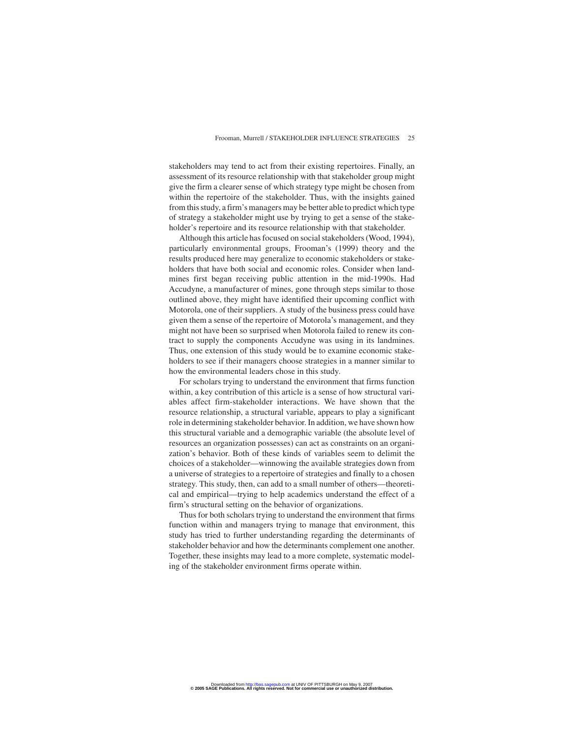stakeholders may tend to act from their existing repertoires. Finally, an assessment of its resource relationship with that stakeholder group might give the firm a clearer sense of which strategy type might be chosen from within the repertoire of the stakeholder. Thus, with the insights gained from this study, a firm's managers may be better able to predict which type of strategy a stakeholder might use by trying to get a sense of the stakeholder's repertoire and its resource relationship with that stakeholder.

Although this article has focused on social stakeholders (Wood, 1994), particularly environmental groups, Frooman's (1999) theory and the results produced here may generalize to economic stakeholders or stakeholders that have both social and economic roles. Consider when landmines first began receiving public attention in the mid-1990s. Had Accudyne, a manufacturer of mines, gone through steps similar to those outlined above, they might have identified their upcoming conflict with Motorola, one of their suppliers. A study of the business press could have given them a sense of the repertoire of Motorola's management, and they might not have been so surprised when Motorola failed to renew its contract to supply the components Accudyne was using in its landmines. Thus, one extension of this study would be to examine economic stakeholders to see if their managers choose strategies in a manner similar to how the environmental leaders chose in this study.

For scholars trying to understand the environment that firms function within, a key contribution of this article is a sense of how structural variables affect firm-stakeholder interactions. We have shown that the resource relationship, a structural variable, appears to play a significant role in determining stakeholder behavior. In addition, we have shown how this structural variable and a demographic variable (the absolute level of resources an organization possesses) can act as constraints on an organization's behavior. Both of these kinds of variables seem to delimit the choices of a stakeholder—winnowing the available strategies down from a universe of strategies to a repertoire of strategies and finally to a chosen strategy. This study, then, can add to a small number of others—theoretical and empirical—trying to help academics understand the effect of a firm's structural setting on the behavior of organizations.

Thus for both scholars trying to understand the environment that firms function within and managers trying to manage that environment, this study has tried to further understanding regarding the determinants of stakeholder behavior and how the determinants complement one another. Together, these insights may lead to a more complete, systematic modeling of the stakeholder environment firms operate within.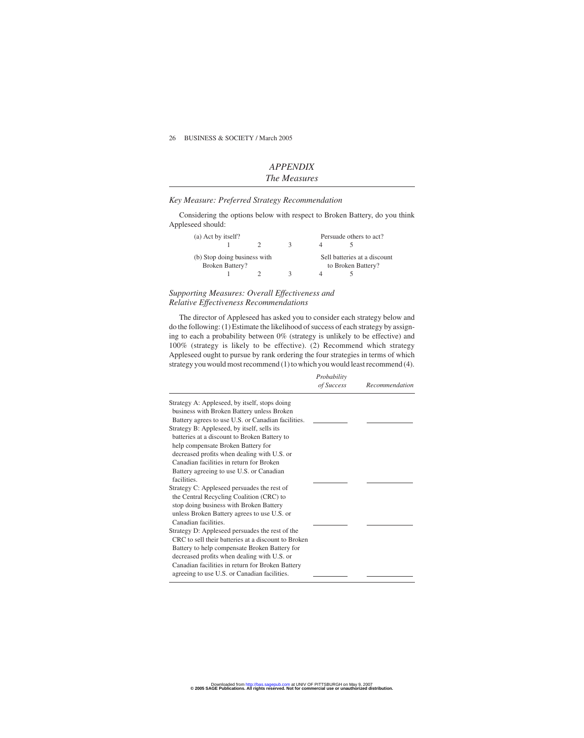### *APPENDIX The Measures*

#### *Key Measure: Preferred Strategy Recommendation*

Considering the options below with respect to Broken Battery, do you think Appleseed should:

| (a) Act by itself?           |  |  |  | Persuade others to act?      |  |  |
|------------------------------|--|--|--|------------------------------|--|--|
|                              |  |  |  |                              |  |  |
| (b) Stop doing business with |  |  |  | Sell batteries at a discount |  |  |
| Broken Battery?              |  |  |  | to Broken Battery?           |  |  |
|                              |  |  |  |                              |  |  |

#### *Supporting Measures: Overall Effectiveness and Relative Effectiveness Recommendations*

The director of Appleseed has asked you to consider each strategy below and do the following: (1) Estimate the likelihood of success of each strategy by assigning to each a probability between 0% (strategy is unlikely to be effective) and 100% (strategy is likely to be effective). (2) Recommend which strategy Appleseed ought to pursue by rank ordering the four strategies in terms of which strategy you would most recommend (1) to which you would least recommend (4).

|                                                     | Probability<br>of Success | Recommendation |
|-----------------------------------------------------|---------------------------|----------------|
| Strategy A: Appleseed, by itself, stops doing       |                           |                |
| business with Broken Battery unless Broken          |                           |                |
| Battery agrees to use U.S. or Canadian facilities.  |                           |                |
| Strategy B: Appleseed, by itself, sells its         |                           |                |
| batteries at a discount to Broken Battery to        |                           |                |
| help compensate Broken Battery for                  |                           |                |
| decreased profits when dealing with U.S. or         |                           |                |
| Canadian facilities in return for Broken            |                           |                |
| Battery agreeing to use U.S. or Canadian            |                           |                |
| facilities.                                         |                           |                |
| Strategy C: Appleseed persuades the rest of         |                           |                |
| the Central Recycling Coalition (CRC) to            |                           |                |
| stop doing business with Broken Battery             |                           |                |
| unless Broken Battery agrees to use U.S. or         |                           |                |
| Canadian facilities.                                |                           |                |
| Strategy D: Appleseed persuades the rest of the     |                           |                |
| CRC to sell their batteries at a discount to Broken |                           |                |
| Battery to help compensate Broken Battery for       |                           |                |
| decreased profits when dealing with U.S. or         |                           |                |
| Canadian facilities in return for Broken Battery    |                           |                |
| agreeing to use U.S. or Canadian facilities.        |                           |                |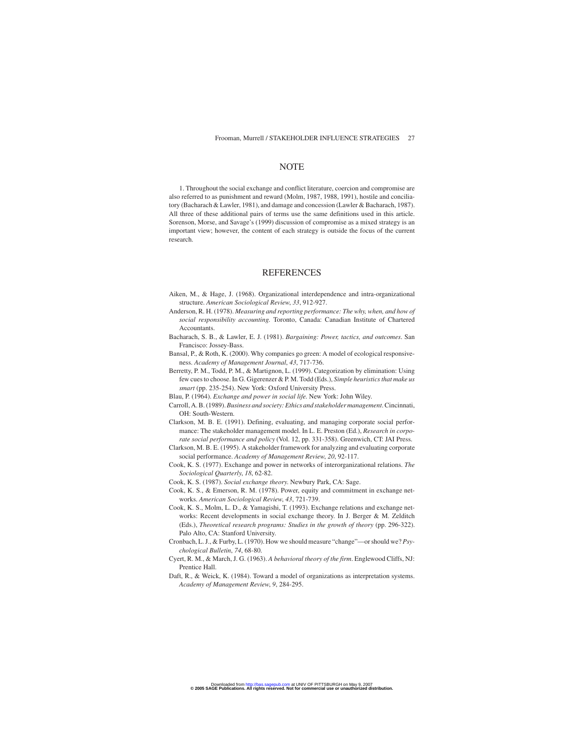#### **NOTE**

1. Throughout the social exchange and conflict literature, coercion and compromise are also referred to as punishment and reward (Molm, 1987, 1988, 1991), hostile and conciliatory (Bacharach & Lawler, 1981), and damage and concession (Lawler & Bacharach, 1987). All three of these additional pairs of terms use the same definitions used in this article. Sorenson, Morse, and Savage's (1999) discussion of compromise as a mixed strategy is an important view; however, the content of each strategy is outside the focus of the current research.

#### REFERENCES

- Aiken, M., & Hage, J. (1968). Organizational interdependence and intra-organizational structure. *American Sociological Review*, *33*, 912-927.
- Anderson, R. H. (1978). *Measuring and reporting performance: The why, when, and how of social responsibility accounting*. Toronto, Canada: Canadian Institute of Chartered Accountants.
- Bacharach, S. B., & Lawler, E. J. (1981). *Bargaining: Power, tactics, and outcomes*. San Francisco: Jossey-Bass.
- Bansal, P., & Roth, K. (2000). Why companies go green: A model of ecological responsiveness. *Academy of Management Journal*, *43*, 717-736.
- Berretty, P. M., Todd, P. M., & Martignon, L. (1999). Categorization by elimination: Using few cues to choose. In G. Gigerenzer & P. M. Todd (Eds.), *Simple heuristics that make us smart* (pp. 235-254). New York: Oxford University Press.
- Blau, P. (1964). *Exchange and power in social life*. New York: John Wiley.
- Carroll, A. B. (1989).*Business and society: Ethics and stakeholder management*. Cincinnati, OH: South-Western.
- Clarkson, M. B. E. (1991). Defining, evaluating, and managing corporate social performance: The stakeholder management model. In L. E. Preston (Ed.), *Research in corporate social performance and policy* (Vol. 12, pp. 331-358). Greenwich, CT: JAI Press.
- Clarkson, M. B. E. (1995). A stakeholder framework for analyzing and evaluating corporate social performance. *Academy of Management Review*, *20*, 92-117.
- Cook, K. S. (1977). Exchange and power in networks of interorganizational relations. *The Sociological Quarterly*, *18*, 62-82.
- Cook, K. S. (1987). *Social exchange theory*. Newbury Park, CA: Sage.
- Cook, K. S., & Emerson, R. M. (1978). Power, equity and commitment in exchange networks. *American Sociological Review*, *43*, 721-739.
- Cook, K. S., Molm, L. D., & Yamagishi, T. (1993). Exchange relations and exchange networks: Recent developments in social exchange theory. In J. Berger & M. Zelditch (Eds.), *Theoretical research programs: Studies in the growth of theory* (pp. 296-322). Palo Alto, CA: Stanford University.
- Cronbach, L. J., & Furby, L. (1970). How we should measure "change"—or should we? *Psychological Bulletin*, *74*, 68-80.
- Cyert, R. M., & March, J. G. (1963). *A behavioral theory of the firm*. Englewood Cliffs, NJ: Prentice Hall.
- Daft, R., & Weick, K. (1984). Toward a model of organizations as interpretation systems. *Academy of Management Review*, *9*, 284-295.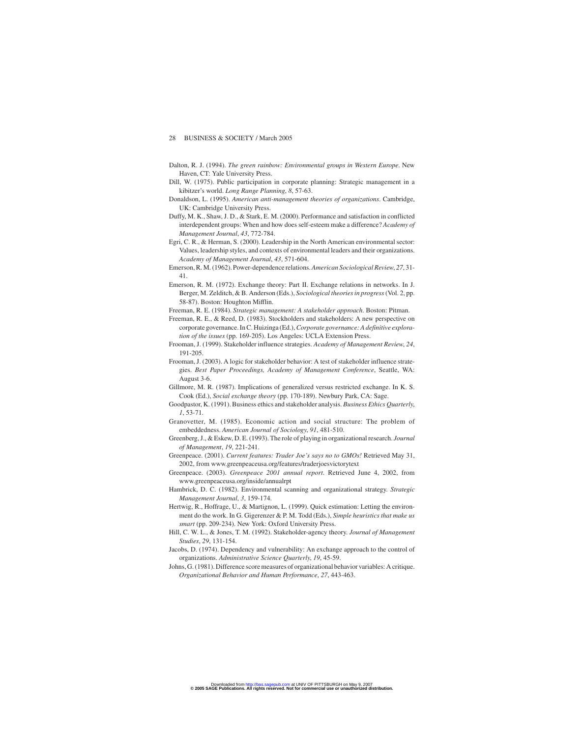- Dalton, R. J. (1994). *The green rainbow: Environmental groups in Western Europe*. New Haven, CT: Yale University Press.
- Dill, W. (1975). Public participation in corporate planning: Strategic management in a kibitzer's world. *Long Range Planning*, *8*, 57-63.
- Donaldson, L. (1995). *American anti-management theories of organizations*. Cambridge, UK: Cambridge University Press.
- Duffy, M. K., Shaw, J. D., & Stark, E. M. (2000). Performance and satisfaction in conflicted interdependent groups: When and how does self-esteem make a difference? *Academy of Management Journal*, *43*, 772-784.
- Egri, C. R., & Herman, S. (2000). Leadership in the North American environmental sector: Values, leadership styles, and contexts of environmental leaders and their organizations. *Academy of Management Journal*, *43*, 571-604.
- Emerson, R. M. (1962). Power-dependence relations.*American Sociological Review*, *27*, 31- 41.
- Emerson, R. M. (1972). Exchange theory: Part II. Exchange relations in networks. In J. Berger, M. Zelditch, & B. Anderson (Eds.), *Sociological theories in progress*(Vol. 2, pp. 58-87). Boston: Houghton Mifflin.
- Freeman, R. E. (1984). *Strategic management: A stakeholder approach*. Boston: Pitman.
- Freeman, R. E., & Reed, D. (1983). Stockholders and stakeholders: A new perspective on corporate governance. In C. Huizinga (Ed.),*Corporate governance: A definitive exploration of the issues* (pp. 169-205). Los Angeles: UCLA Extension Press.
- Frooman, J. (1999). Stakeholder influence strategies. *Academy of Management Review*, *24*, 191-205.
- Frooman, J. (2003). A logic for stakeholder behavior: A test of stakeholder influence strategies. *Best Paper Proceedings, Academy of Management Conference*, Seattle, WA: August 3-6.
- Gillmore, M. R. (1987). Implications of generalized versus restricted exchange. In K. S. Cook (Ed.), *Social exchange theory* (pp. 170-189). Newbury Park, CA: Sage.
- Goodpastor, K. (1991). Business ethics and stakeholder analysis. *Business Ethics Quarterly*, *1*, 53-71.
- Granovetter, M. (1985). Economic action and social structure: The problem of embeddedness. *American Journal of Sociology*, *91*, 481-510.
- Greenberg, J., & Eskew, D. E. (1993). The role of playing in organizational research. *Journal of Management*, *19*, 221-241.
- Greenpeace. (2001). *Current features: Trader Joe's says no to GMOs!* Retrieved May 31, 2002, from www.greenpeaceusa.org/features/traderjoesvictorytext
- Greenpeace. (2003). *Greenpeace 2001 annual report*. Retrieved June 4, 2002, from www.greenpeaceusa.org/inside/annualrpt
- Hambrick, D. C. (1982). Environmental scanning and organizational strategy. *Strategic Management Journal*, *3*, 159-174.
- Hertwig, R., Hoffrage, U., & Martignon, L. (1999). Quick estimation: Letting the environment do the work. In G. Gigerenzer & P. M. Todd (Eds.), *Simple heuristics that make us smart* (pp. 209-234). New York: Oxford University Press.
- Hill, C. W. L., & Jones, T. M. (1992). Stakeholder-agency theory. *Journal of Management Studies*, *29*, 131-154.
- Jacobs, D. (1974). Dependency and vulnerability: An exchange approach to the control of organizations. *Administrative Science Quarterly*, *19*, 45-59.
- Johns, G. (1981). Difference score measures of organizational behavior variables: A critique. *Organizational Behavior and Human Performance*, *27*, 443-463.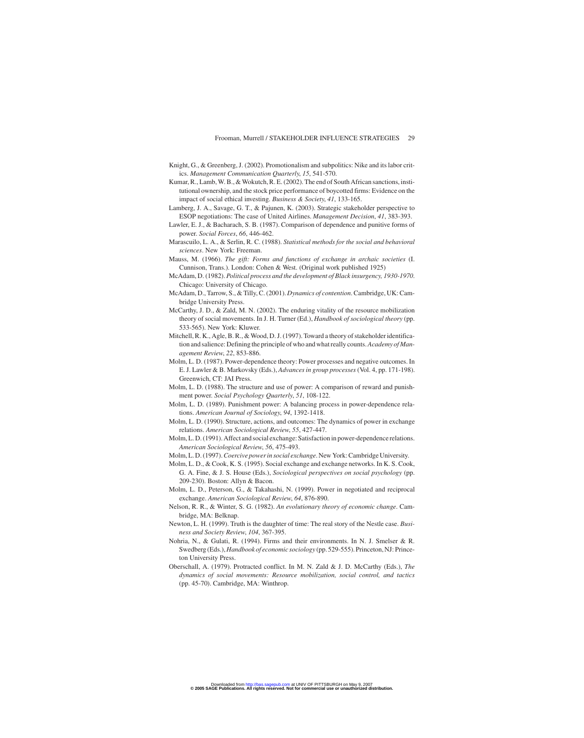- Knight, G., & Greenberg, J. (2002). Promotionalism and subpolitics: Nike and its labor critics. *Management Communication Quarterly*, *15*, 541-570.
- Kumar, R., Lamb, W. B., & Wokutch, R. E. (2002). The end of South African sanctions, institutional ownership, and the stock price performance of boycotted firms: Evidence on the impact of social ethical investing. *Business & Society*, *41*, 133-165.
- Lamberg, J. A., Savage, G. T., & Pajunen, K. (2003). Strategic stakeholder perspective to ESOP negotiations: The case of United Airlines. *Management Decision*, *41*, 383-393.
- Lawler, E. J., & Bacharach, S. B. (1987). Comparison of dependence and punitive forms of power. *Social Forces*, *66*, 446-462.
- Marascuilo, L. A., & Serlin, R. C. (1988). *Statistical methods for the social and behavioral sciences*. New York: Freeman.
- Mauss, M. (1966). *The gift: Forms and functions of exchange in archaic societies* (I. Cunnison, Trans.). London: Cohen & West. (Original work published 1925)
- McAdam, D. (1982). *Political process and the development of Black insurgency, 1930-1970*. Chicago: University of Chicago.
- McAdam, D., Tarrow, S., & Tilly, C. (2001). *Dynamics of contention*. Cambridge, UK: Cambridge University Press.
- McCarthy, J. D., & Zald, M. N. (2002). The enduring vitality of the resource mobilization theory of social movements. In J. H. Turner (Ed.), *Handbook of sociological theory* (pp. 533-565). New York: Kluwer.
- Mitchell, R. K., Agle, B. R., & Wood, D. J. (1997). Toward a theory of stakeholder identification and salience: Defining the principle of who and what really counts.*Academy of Management Review*, *22*, 853-886.
- Molm, L. D. (1987). Power-dependence theory: Power processes and negative outcomes. In E. J. Lawler & B. Markovsky (Eds.), *Advances in group processes* (Vol. 4, pp. 171-198). Greenwich, CT: JAI Press.
- Molm, L. D. (1988). The structure and use of power: A comparison of reward and punishment power. *Social Psychology Quarterly*, *51*, 108-122.
- Molm, L. D. (1989). Punishment power: A balancing process in power-dependence relations. *American Journal of Sociology*, *94*, 1392-1418.
- Molm, L. D. (1990). Structure, actions, and outcomes: The dynamics of power in exchange relations. *American Sociological Review*, *55*, 427-447.
- Molm, L. D. (1991). Affect and social exchange: Satisfaction in power-dependence relations. *American Sociological Review*, *56*, 475-493.
- Molm, L. D. (1997).*Coercive power in social exchange*. New York: Cambridge University.
- Molm, L. D., & Cook, K. S. (1995). Social exchange and exchange networks. In K. S. Cook, G. A. Fine, & J. S. House (Eds.), *Sociological perspectives on social psychology* (pp. 209-230). Boston: Allyn & Bacon.
- Molm, L. D., Peterson, G., & Takahashi, N. (1999). Power in negotiated and reciprocal exchange. *American Sociological Review*, *64*, 876-890.
- Nelson, R. R., & Winter, S. G. (1982). *An evolutionary theory of economic change*. Cambridge, MA: Belknap.
- Newton, L. H. (1999). Truth is the daughter of time: The real story of the Nestle case. *Business and Society Review*, *104*, 367-395.
- Nohria, N., & Gulati, R. (1994). Firms and their environments. In N. J. Smelser & R. Swedberg (Eds.),*Handbook of economic sociology* (pp. 529-555).Princeton, NJ: Princeton University Press.
- Oberschall, A. (1979). Protracted conflict. In M. N. Zald & J. D. McCarthy (Eds.), *The dynamics of social movements: Resource mobilization, social control, and tactics* (pp. 45-70). Cambridge, MA: Winthrop.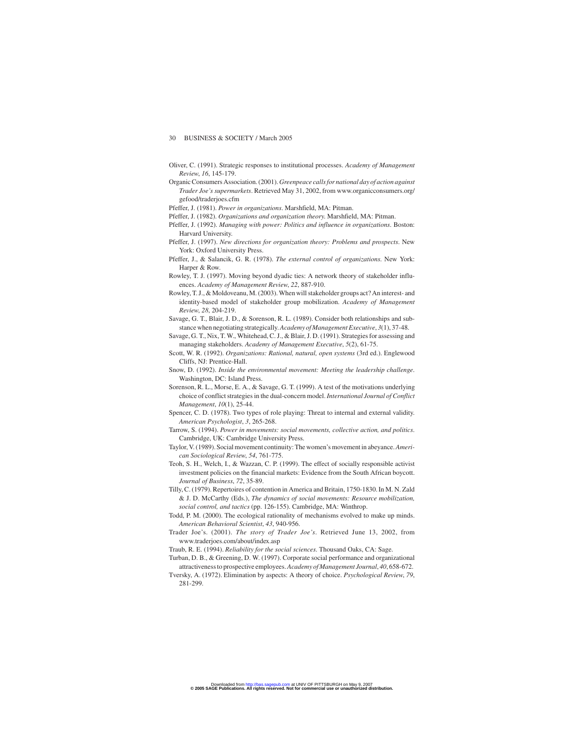- Oliver, C. (1991). Strategic responses to institutional processes. *Academy of Management Review*, *16*, 145-179.
- Organic Consumers Association. (2001).*Greenpeace calls for national day of action against Trader Joe's supermarkets*. Retrieved May 31, 2002, from www.organicconsumers.org/ gefood/traderjoes.cfm

Pfeffer, J. (1981). *Power in organizations*. Marshfield, MA: Pitman.

- Pfeffer, J. (1982). *Organizations and organization theory*. Marshfield, MA: Pitman.
- Pfeffer, J. (1992). *Managing with power: Politics and influence in organizations*. Boston: Harvard University.
- Pfeffer, J. (1997). *New directions for organization theory: Problems and prospects*. New York: Oxford University Press.
- Pfeffer, J., & Salancik, G. R. (1978). *The external control of organizations*. New York: Harper & Row.
- Rowley, T. J. (1997). Moving beyond dyadic ties: A network theory of stakeholder influences. *Academy of Management Review*, *22*, 887-910.
- Rowley, T. J., & Moldoveanu, M. (2003). When will stakeholder groups act? An interest- and identity-based model of stakeholder group mobilization. *Academy of Management Review*, *28*, 204-219.
- Savage, G. T., Blair, J. D., & Sorenson, R. L. (1989). Consider both relationships and substance when negotiating strategically.*Academy of Management Executive*, *3*(1), 37-48.
- Savage, G. T., Nix, T. W., Whitehead, C. J., & Blair, J. D. (1991). Strategies for assessing and managing stakeholders. *Academy of Management Executive*, *5*(2), 61-75.
- Scott, W. R. (1992). *Organizations: Rational, natural, open systems* (3rd ed.). Englewood Cliffs, NJ: Prentice-Hall.
- Snow, D. (1992). *Inside the environmental movement: Meeting the leadership challenge*. Washington, DC: Island Press.
- Sorenson, R. L., Morse, E. A., & Savage, G. T. (1999). A test of the motivations underlying choice of conflict strategies in the dual-concern model. *International Journal of Conflict Management*, *10*(1), 25-44.
- Spencer, C. D. (1978). Two types of role playing: Threat to internal and external validity. *American Psychologist*, *3*, 265-268.
- Tarrow, S. (1994). *Power in movements: social movements, collective action, and politics*. Cambridge, UK: Cambridge University Press.
- Taylor, V. (1989). Social movement continuity: The women's movement in abeyance.*American Sociological Review*, *54*, 761-775.
- Teoh, S. H., Welch, I., & Wazzan, C. P. (1999). The effect of socially responsible activist investment policies on the financial markets: Evidence from the South African boycott. *Journal of Business*, *72*, 35-89.
- Tilly, C. (1979). Repertoires of contention in America and Britain, 1750-1830. In M. N. Zald & J. D. McCarthy (Eds.), *The dynamics of social movements: Resource mobilization, social control, and tactics* (pp. 126-155). Cambridge, MA: Winthrop.
- Todd, P. M. (2000). The ecological rationality of mechanisms evolved to make up minds. *American Behavioral Scientist*, *43*, 940-956.
- Trader Joe's. (2001). *The story of Trader Joe's*. Retrieved June 13, 2002, from www.traderjoes.com/about/index.asp
- Traub, R. E. (1994). *Reliability for the social sciences*. Thousand Oaks, CA: Sage.
- Turban, D. B., & Greening, D. W. (1997). Corporate social performance and organizational attractiveness to prospective employees.*Academy of Management Journal*, *40*, 658-672.
- Tversky, A. (1972). Elimination by aspects: A theory of choice. *Psychological Review*, *79*, 281-299.